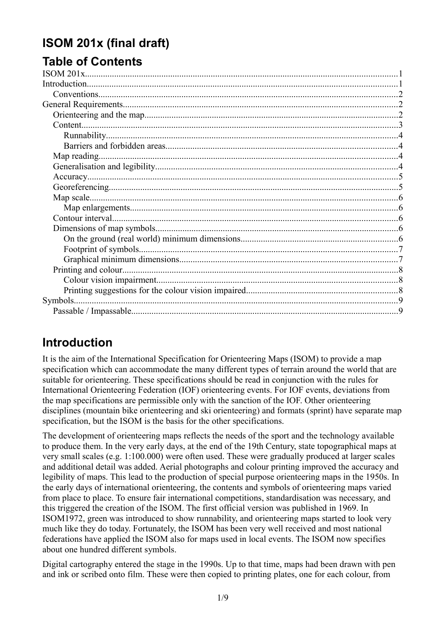# <span id="page-0-1"></span>**ISOM 201x (final draft)**

# **Table of Contents**

| Map reading. |  |
|--------------|--|
|              |  |
|              |  |
|              |  |
|              |  |
|              |  |
|              |  |
|              |  |
|              |  |
|              |  |
|              |  |
|              |  |
|              |  |
|              |  |
|              |  |
|              |  |

# <span id="page-0-0"></span>**Introduction**

It is the aim of the International Specification for Orienteering Maps (ISOM) to provide a map specification which can accommodate the many different types of terrain around the world that are suitable for orienteering. These specifications should be read in conjunction with the rules for International Orienteering Federation (IOF) orienteering events. For IOF events, deviations from the map specifications are permissible only with the sanction of the IOF. Other orienteering disciplines (mountain bike orienteering and ski orienteering) and formats (sprint) have separate map specification, but the ISOM is the basis for the other specifications.

The development of orienteering maps reflects the needs of the sport and the technology available to produce them. In the very early days, at the end of the 19th Century, state topographical maps at very small scales (e.g. 1:100.000) were often used. These were gradually produced at larger scales and additional detail was added. Aerial photographs and colour printing improved the accuracy and legibility of maps. This lead to the production of special purpose orienteering maps in the 1950s. In the early days of international orienteering, the contents and symbols of orienteering maps varied from place to place. To ensure fair international competitions, standardisation was necessary, and this triggered the creation of the ISOM. The first official version was published in 1969. In ISOM1972, green was introduced to show runnability, and orienteering maps started to look very much like they do today. Fortunately, the ISOM has been very well received and most national federations have applied the ISOM also for maps used in local events. The ISOM now specifies about one hundred different symbols.

Digital cartography entered the stage in the 1990s. Up to that time, maps had been drawn with pen and ink or scribed onto film. These were then copied to printing plates, one for each colour, from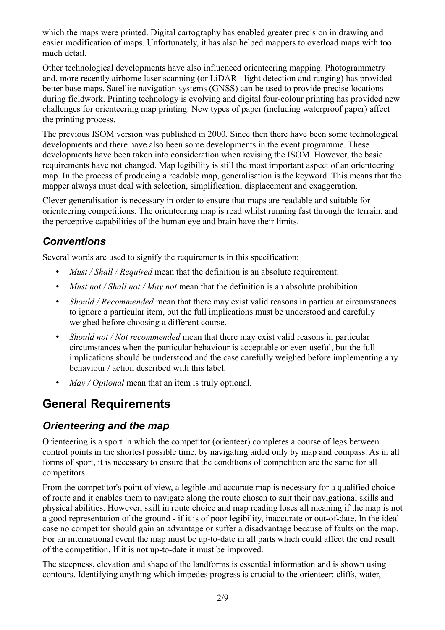which the maps were printed. Digital cartography has enabled greater precision in drawing and easier modification of maps. Unfortunately, it has also helped mappers to overload maps with too much detail.

Other technological developments have also influenced orienteering mapping. Photogrammetry and, more recently airborne laser scanning (or LiDAR - light detection and ranging) has provided better base maps. Satellite navigation systems (GNSS) can be used to provide precise locations during fieldwork. Printing technology is evolving and digital four-colour printing has provided new challenges for orienteering map printing. New types of paper (including waterproof paper) affect the printing process.

The previous ISOM version was published in 2000. Since then there have been some technological developments and there have also been some developments in the event programme. These developments have been taken into consideration when revising the ISOM. However, the basic requirements have not changed. Map legibility is still the most important aspect of an orienteering map. In the process of producing a readable map, generalisation is the keyword. This means that the mapper always must deal with selection, simplification, displacement and exaggeration.

Clever generalisation is necessary in order to ensure that maps are readable and suitable for orienteering competitions. The orienteering map is read whilst running fast through the terrain, and the perceptive capabilities of the human eye and brain have their limits.

## <span id="page-1-2"></span>*Conventions*

Several words are used to signify the requirements in this specification:

- *Must / Shall / Required* mean that the definition is an absolute requirement.
- *Must not / Shall not / May not* mean that the definition is an absolute prohibition.
- *Should / Recommended* mean that there may exist valid reasons in particular circumstances to ignore a particular item, but the full implications must be understood and carefully weighed before choosing a different course.
- *Should not / Not recommended* mean that there may exist valid reasons in particular circumstances when the particular behaviour is acceptable or even useful, but the full implications should be understood and the case carefully weighed before implementing any behaviour / action described with this label.
- *May / Optional* mean that an item is truly optional.

# <span id="page-1-1"></span>**General Requirements**

## <span id="page-1-0"></span>*Orienteering and the map*

Orienteering is a sport in which the competitor (orienteer) completes a course of legs between control points in the shortest possible time, by navigating aided only by map and compass. As in all forms of sport, it is necessary to ensure that the conditions of competition are the same for all competitors.

From the competitor's point of view, a legible and accurate map is necessary for a qualified choice of route and it enables them to navigate along the route chosen to suit their navigational skills and physical abilities. However, skill in route choice and map reading loses all meaning if the map is not a good representation of the ground - if it is of poor legibility, inaccurate or out-of-date. In the ideal case no competitor should gain an advantage or suffer a disadvantage because of faults on the map. For an international event the map must be up-to-date in all parts which could affect the end result of the competition. If it is not up-to-date it must be improved.

The steepness, elevation and shape of the landforms is essential information and is shown using contours. Identifying anything which impedes progress is crucial to the orienteer: cliffs, water,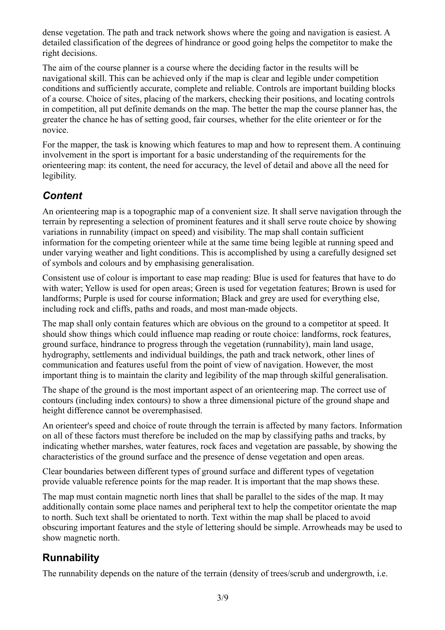dense vegetation. The path and track network shows where the going and navigation is easiest. A detailed classification of the degrees of hindrance or good going helps the competitor to make the right decisions.

The aim of the course planner is a course where the deciding factor in the results will be navigational skill. This can be achieved only if the map is clear and legible under competition conditions and sufficiently accurate, complete and reliable. Controls are important building blocks of a course. Choice of sites, placing of the markers, checking their positions, and locating controls in competition, all put definite demands on the map. The better the map the course planner has, the greater the chance he has of setting good, fair courses, whether for the elite orienteer or for the novice.

For the mapper, the task is knowing which features to map and how to represent them. A continuing involvement in the sport is important for a basic understanding of the requirements for the orienteering map: its content, the need for accuracy, the level of detail and above all the need for legibility.

#### <span id="page-2-1"></span>*Content*

An orienteering map is a topographic map of a convenient size. It shall serve navigation through the terrain by representing a selection of prominent features and it shall serve route choice by showing variations in runnability (impact on speed) and visibility. The map shall contain sufficient information for the competing orienteer while at the same time being legible at running speed and under varying weather and light conditions. This is accomplished by using a carefully designed set of symbols and colours and by emphasising generalisation.

Consistent use of colour is important to ease map reading: Blue is used for features that have to do with water; Yellow is used for open areas; Green is used for vegetation features; Brown is used for landforms; Purple is used for course information; Black and grey are used for everything else, including rock and cliffs, paths and roads, and most man-made objects.

The map shall only contain features which are obvious on the ground to a competitor at speed. It should show things which could influence map reading or route choice: landforms, rock features, ground surface, hindrance to progress through the vegetation (runnability), main land usage, hydrography, settlements and individual buildings, the path and track network, other lines of communication and features useful from the point of view of navigation. However, the most important thing is to maintain the clarity and legibility of the map through skilful generalisation.

The shape of the ground is the most important aspect of an orienteering map. The correct use of contours (including index contours) to show a three dimensional picture of the ground shape and height difference cannot be overemphasised.

An orienteer's speed and choice of route through the terrain is affected by many factors. Information on all of these factors must therefore be included on the map by classifying paths and tracks, by indicating whether marshes, water features, rock faces and vegetation are passable, by showing the characteristics of the ground surface and the presence of dense vegetation and open areas.

Clear boundaries between different types of ground surface and different types of vegetation provide valuable reference points for the map reader. It is important that the map shows these.

The map must contain magnetic north lines that shall be parallel to the sides of the map. It may additionally contain some place names and peripheral text to help the competitor orientate the map to north. Such text shall be orientated to north. Text within the map shall be placed to avoid obscuring important features and the style of lettering should be simple. Arrowheads may be used to show magnetic north.

## <span id="page-2-0"></span>**Runnability**

The runnability depends on the nature of the terrain (density of trees/scrub and undergrowth, i.e.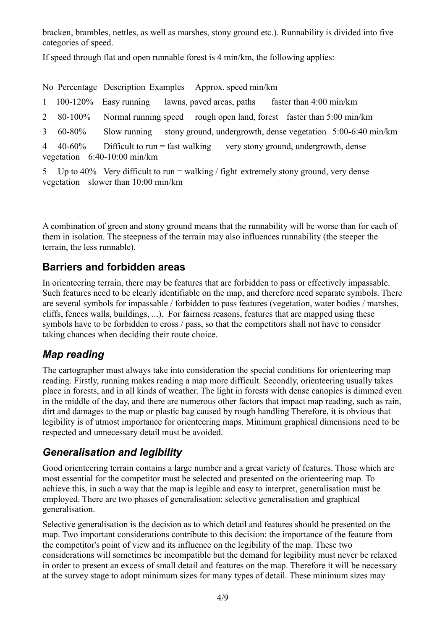bracken, brambles, nettles, as well as marshes, stony ground etc.). Runnability is divided into five categories of speed.

If speed through flat and open runnable forest is 4 min/km, the following applies:

No Percentage Description Examples Approx. speed min/km

|  |  |  |  | 1 100-120% Easy running lawns, paved areas, paths | faster than 4:00 min/km |
|--|--|--|--|---------------------------------------------------|-------------------------|
|--|--|--|--|---------------------------------------------------|-------------------------|

- 2 80-100% Normal running speed rough open land, forest faster than 5:00 min/km
- 3 60-80% Slow running stony ground, undergrowth, dense vegetation 5:00-6:40 min/km

4 40-60% Difficult to run = fast walking very stony ground, undergrowth, dense vegetation 6:40-10:00 min/km

5 Up to 40% Very difficult to run = walking / fight extremely stony ground, very dense vegetation slower than 10:00 min/km

A combination of green and stony ground means that the runnability will be worse than for each of them in isolation. The steepness of the terrain may also influences runnability (the steeper the terrain, the less runnable).

#### <span id="page-3-2"></span>**Barriers and forbidden areas**

In orienteering terrain, there may be features that are forbidden to pass or effectively impassable. Such features need to be clearly identifiable on the map, and therefore need separate symbols. There are several symbols for impassable / forbidden to pass features (vegetation, water bodies / marshes, cliffs, fences walls, buildings, ...). For fairness reasons, features that are mapped using these symbols have to be forbidden to cross / pass, so that the competitors shall not have to consider taking chances when deciding their route choice.

## <span id="page-3-1"></span>*Map reading*

The cartographer must always take into consideration the special conditions for orienteering map reading. Firstly, running makes reading a map more difficult. Secondly, orienteering usually takes place in forests, and in all kinds of weather. The light in forests with dense canopies is dimmed even in the middle of the day, and there are numerous other factors that impact map reading, such as rain, dirt and damages to the map or plastic bag caused by rough handling Therefore, it is obvious that legibility is of utmost importance for orienteering maps. Minimum graphical dimensions need to be respected and unnecessary detail must be avoided.

#### <span id="page-3-0"></span>*Generalisation and legibility*

Good orienteering terrain contains a large number and a great variety of features. Those which are most essential for the competitor must be selected and presented on the orienteering map. To achieve this, in such a way that the map is legible and easy to interpret, generalisation must be employed. There are two phases of generalisation: selective generalisation and graphical generalisation.

Selective generalisation is the decision as to which detail and features should be presented on the map. Two important considerations contribute to this decision: the importance of the feature from the competitor's point of view and its influence on the legibility of the map. These two considerations will sometimes be incompatible but the demand for legibility must never be relaxed in order to present an excess of small detail and features on the map. Therefore it will be necessary at the survey stage to adopt minimum sizes for many types of detail. These minimum sizes may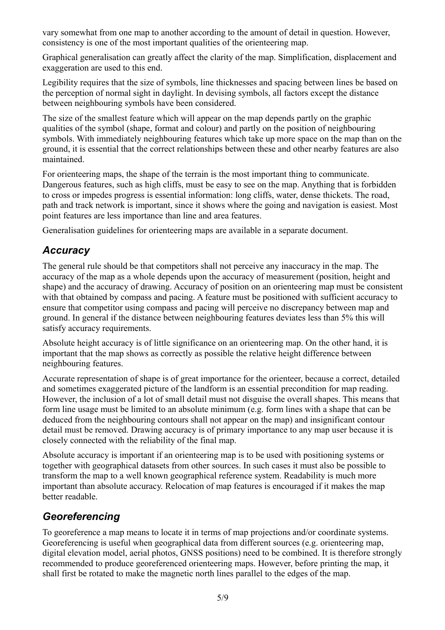vary somewhat from one map to another according to the amount of detail in question. However, consistency is one of the most important qualities of the orienteering map.

Graphical generalisation can greatly affect the clarity of the map. Simplification, displacement and exaggeration are used to this end.

Legibility requires that the size of symbols, line thicknesses and spacing between lines be based on the perception of normal sight in daylight. In devising symbols, all factors except the distance between neighbouring symbols have been considered.

The size of the smallest feature which will appear on the map depends partly on the graphic qualities of the symbol (shape, format and colour) and partly on the position of neighbouring symbols. With immediately neighbouring features which take up more space on the map than on the ground, it is essential that the correct relationships between these and other nearby features are also maintained.

For orienteering maps, the shape of the terrain is the most important thing to communicate. Dangerous features, such as high cliffs, must be easy to see on the map. Anything that is forbidden to cross or impedes progress is essential information: long cliffs, water, dense thickets. The road, path and track network is important, since it shows where the going and navigation is easiest. Most point features are less importance than line and area features.

Generalisation guidelines for orienteering maps are available in a separate document.

#### <span id="page-4-1"></span>*Accuracy*

The general rule should be that competitors shall not perceive any inaccuracy in the map. The accuracy of the map as a whole depends upon the accuracy of measurement (position, height and shape) and the accuracy of drawing. Accuracy of position on an orienteering map must be consistent with that obtained by compass and pacing. A feature must be positioned with sufficient accuracy to ensure that competitor using compass and pacing will perceive no discrepancy between map and ground. In general if the distance between neighbouring features deviates less than 5% this will satisfy accuracy requirements.

Absolute height accuracy is of little significance on an orienteering map. On the other hand, it is important that the map shows as correctly as possible the relative height difference between neighbouring features.

Accurate representation of shape is of great importance for the orienteer, because a correct, detailed and sometimes exaggerated picture of the landform is an essential precondition for map reading. However, the inclusion of a lot of small detail must not disguise the overall shapes. This means that form line usage must be limited to an absolute minimum (e.g. form lines with a shape that can be deduced from the neighbouring contours shall not appear on the map) and insignificant contour detail must be removed. Drawing accuracy is of primary importance to any map user because it is closely connected with the reliability of the final map.

Absolute accuracy is important if an orienteering map is to be used with positioning systems or together with geographical datasets from other sources. In such cases it must also be possible to transform the map to a well known geographical reference system. Readability is much more important than absolute accuracy. Relocation of map features is encouraged if it makes the map better readable.

## <span id="page-4-0"></span>*Georeferencing*

To georeference a map means to locate it in terms of map projections and/or coordinate systems. Georeferencing is useful when geographical data from different sources (e.g. orienteering map, digital elevation model, aerial photos, GNSS positions) need to be combined. It is therefore strongly recommended to produce georeferenced orienteering maps. However, before printing the map, it shall first be rotated to make the magnetic north lines parallel to the edges of the map.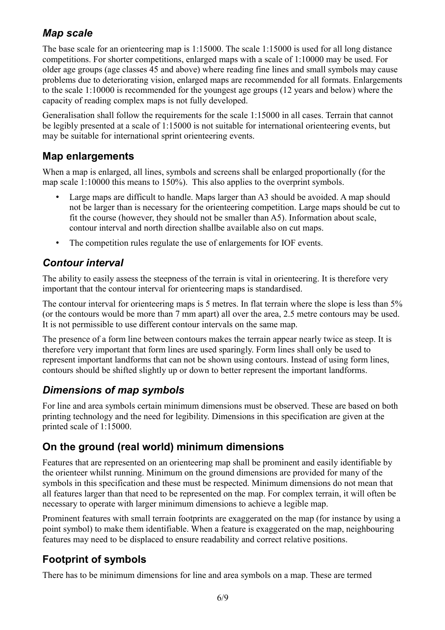## <span id="page-5-5"></span>*Map scale*

The base scale for an orienteering map is 1:15000. The scale 1:15000 is used for all long distance competitions. For shorter competitions, enlarged maps with a scale of 1:10000 may be used. For older age groups (age classes 45 and above) where reading fine lines and small symbols may cause problems due to deteriorating vision, enlarged maps are recommended for all formats. Enlargements to the scale 1:10000 is recommended for the youngest age groups (12 years and below) where the capacity of reading complex maps is not fully developed.

Generalisation shall follow the requirements for the scale 1:15000 in all cases. Terrain that cannot be legibly presented at a scale of 1:15000 is not suitable for international orienteering events, but may be suitable for international sprint orienteering events.

#### <span id="page-5-4"></span>**Map enlargements**

When a map is enlarged, all lines, symbols and screens shall be enlarged proportionally (for the map scale 1:10000 this means to 150%). This also applies to the overprint symbols.

- Large maps are difficult to handle. Maps larger than A3 should be avoided. A map should not be larger than is necessary for the orienteering competition. Large maps should be cut to fit the course (however, they should not be smaller than A5). Information about scale, contour interval and north direction shallbe available also on cut maps.
- The competition rules regulate the use of enlargements for IOF events.

## <span id="page-5-3"></span>*Contour interval*

The ability to easily assess the steepness of the terrain is vital in orienteering. It is therefore very important that the contour interval for orienteering maps is standardised.

The contour interval for orienteering maps is 5 metres. In flat terrain where the slope is less than 5% (or the contours would be more than 7 mm apart) all over the area, 2.5 metre contours may be used. It is not permissible to use different contour intervals on the same map.

The presence of a form line between contours makes the terrain appear nearly twice as steep. It is therefore very important that form lines are used sparingly. Form lines shall only be used to represent important landforms that can not be shown using contours. Instead of using form lines, contours should be shifted slightly up or down to better represent the important landforms.

## <span id="page-5-2"></span>*Dimensions of map symbols*

For line and area symbols certain minimum dimensions must be observed. These are based on both printing technology and the need for legibility. Dimensions in this specification are given at the printed scale of 1:15000.

## <span id="page-5-1"></span>**On the ground (real world) minimum dimensions**

Features that are represented on an orienteering map shall be prominent and easily identifiable by the orienteer whilst running. Minimum on the ground dimensions are provided for many of the symbols in this specification and these must be respected. Minimum dimensions do not mean that all features larger than that need to be represented on the map. For complex terrain, it will often be necessary to operate with larger minimum dimensions to achieve a legible map.

Prominent features with small terrain footprints are exaggerated on the map (for instance by using a point symbol) to make them identifiable. When a feature is exaggerated on the map, neighbouring features may need to be displaced to ensure readability and correct relative positions.

## <span id="page-5-0"></span>**Footprint of symbols**

There has to be minimum dimensions for line and area symbols on a map. These are termed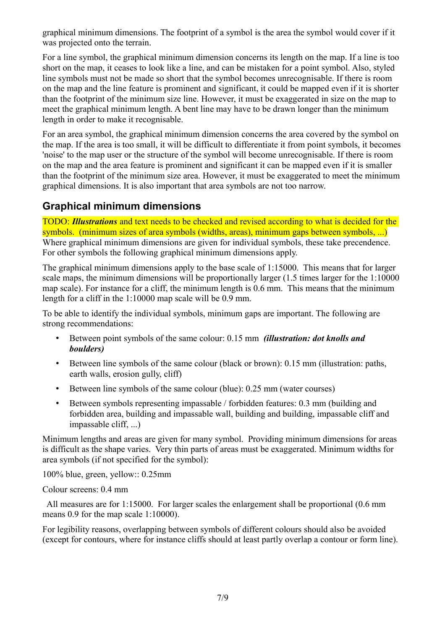graphical minimum dimensions. The footprint of a symbol is the area the symbol would cover if it was projected onto the terrain.

For a line symbol, the graphical minimum dimension concerns its length on the map. If a line is too short on the map, it ceases to look like a line, and can be mistaken for a point symbol. Also, styled line symbols must not be made so short that the symbol becomes unrecognisable. If there is room on the map and the line feature is prominent and significant, it could be mapped even if it is shorter than the footprint of the minimum size line. However, it must be exaggerated in size on the map to meet the graphical minimum length. A bent line may have to be drawn longer than the minimum length in order to make it recognisable.

For an area symbol, the graphical minimum dimension concerns the area covered by the symbol on the map. If the area is too small, it will be difficult to differentiate it from point symbols, it becomes 'noise' to the map user or the structure of the symbol will become unrecognisable. If there is room on the map and the area feature is prominent and significant it can be mapped even if it is smaller than the footprint of the minimum size area. However, it must be exaggerated to meet the minimum graphical dimensions. It is also important that area symbols are not too narrow.

#### <span id="page-6-0"></span>**Graphical minimum dimensions**

TODO: *Illustrations* and text needs to be checked and revised according to what is decided for the symbols. (minimum sizes of area symbols (widths, areas), minimum gaps between symbols, ...) Where graphical minimum dimensions are given for individual symbols, these take precendence. For other symbols the following graphical minimum dimensions apply.

The graphical minimum dimensions apply to the base scale of 1:15000. This means that for larger scale maps, the minimum dimensions will be proportionally larger (1.5 times larger for the 1:10000 map scale). For instance for a cliff, the minimum length is 0.6 mm. This means that the minimum length for a cliff in the 1:10000 map scale will be 0.9 mm.

To be able to identify the individual symbols, minimum gaps are important. The following are strong recommendations:

- Between point symbols of the same colour: 0.15 mm *(illustration: dot knolls and boulders)*
- Between line symbols of the same colour (black or brown): 0.15 mm (illustration: paths, earth walls, erosion gully, cliff)
- Between line symbols of the same colour (blue): 0.25 mm (water courses)
- Between symbols representing impassable / forbidden features: 0.3 mm (building and forbidden area, building and impassable wall, building and building, impassable cliff and impassable cliff, ...)

Minimum lengths and areas are given for many symbol. Providing minimum dimensions for areas is difficult as the shape varies. Very thin parts of areas must be exaggerated. Minimum widths for area symbols (if not specified for the symbol):

100% blue, green, yellow:: 0.25mm

#### Colour screens: 0.4 mm

All measures are for 1:15000. For larger scales the enlargement shall be proportional  $(0.6 \text{ mm})$ means 0.9 for the map scale 1:10000).

For legibility reasons, overlapping between symbols of different colours should also be avoided (except for contours, where for instance cliffs should at least partly overlap a contour or form line).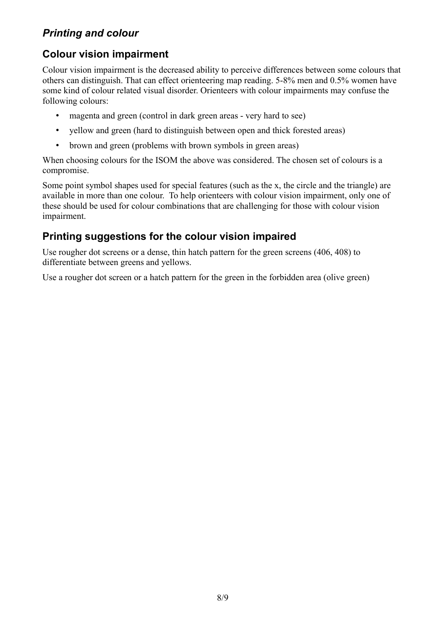## <span id="page-7-2"></span>*Printing and colour*

## <span id="page-7-1"></span>**Colour vision impairment**

Colour vision impairment is the decreased ability to perceive differences between some colours that others can distinguish. That can effect orienteering map reading. 5-8% men and 0.5% women have some kind of colour related visual disorder. Orienteers with colour impairments may confuse the following colours:

- magenta and green (control in dark green areas very hard to see)
- yellow and green (hard to distinguish between open and thick forested areas)
- brown and green (problems with brown symbols in green areas)

When choosing colours for the ISOM the above was considered. The chosen set of colours is a compromise.

Some point symbol shapes used for special features (such as the x, the circle and the triangle) are available in more than one colour. To help orienteers with colour vision impairment, only one of these should be used for colour combinations that are challenging for those with colour vision impairment.

## <span id="page-7-0"></span>**Printing suggestions for the colour vision impaired**

Use rougher dot screens or a dense, thin hatch pattern for the green screens (406, 408) to differentiate between greens and yellows.

Use a rougher dot screen or a hatch pattern for the green in the forbidden area (olive green)